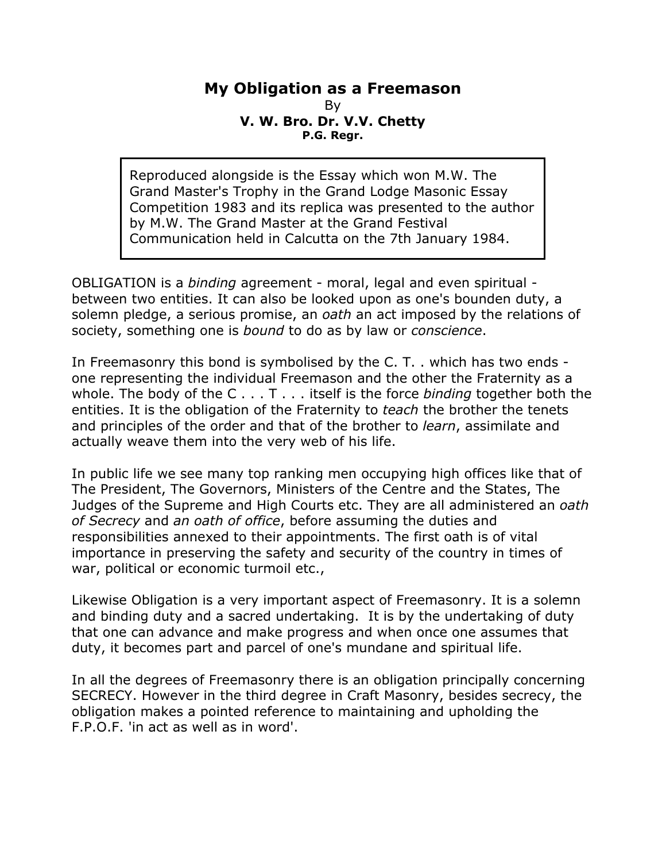## **My Obligation as a Freemason** By **V. W. Bro. Dr. V.V. Chetty P.G. Regr.**

Reproduced alongside is the Essay which won M.W. The Grand Master's Trophy in the Grand Lodge Masonic Essay Competition 1983 and its replica was presented to the author by M.W. The Grand Master at the Grand Festival Communication held in Calcutta on the 7th January 1984.

OBLIGATION is a *binding* agreement - moral, legal and even spiritual between two entities. It can also be looked upon as one's bounden duty, a solemn pledge, a serious promise, an *oath* an act imposed by the relations of society, something one is *bound* to do as by law or *conscience*.

In Freemasonry this bond is symbolised by the C. T. . which has two ends one representing the individual Freemason and the other the Fraternity as a whole. The body of the C . . . T . . . itself is the force *binding* together both the entities. It is the obligation of the Fraternity to *teach* the brother the tenets and principles of the order and that of the brother to *learn*, assimilate and actually weave them into the very web of his life.

In public life we see many top ranking men occupying high offices like that of The President, The Governors, Ministers of the Centre and the States, The Judges of the Supreme and High Courts etc. They are all administered an *oath of Secrecy* and *an oath of office*, before assuming the duties and responsibilities annexed to their appointments. The first oath is of vital importance in preserving the safety and security of the country in times of war, political or economic turmoil etc.,

Likewise Obligation is a very important aspect of Freemasonry. It is a solemn and binding duty and a sacred undertaking. It is by the undertaking of duty that one can advance and make progress and when once one assumes that duty, it becomes part and parcel of one's mundane and spiritual life.

In all the degrees of Freemasonry there is an obligation principally concerning SECRECY. However in the third degree in Craft Masonry, besides secrecy, the obligation makes a pointed reference to maintaining and upholding the F.P.O.F. 'in act as well as in word'.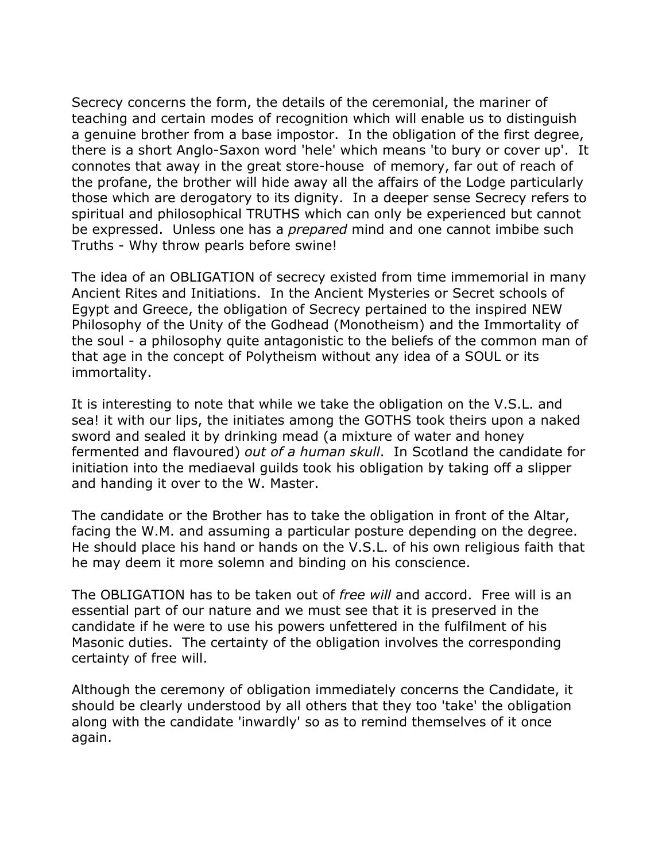Secrecy concerns the form, the details of the ceremonial, the mariner of teaching and certain modes of recognition which will enable us to distinguish a genuine brother from a base impostor. In the obligation of the first degree, there is a short Anglo-Saxon word 'hele' which means 'to bury or cover up'. It connotes that away in the great store-house of memory, far out of reach of the profane, the brother will hide away all the affairs of the Lodge particularly those which are derogatory to its dignity. In a deeper sense Secrecy refers to spiritual and philosophical TRUTHS which can only be experienced but cannot be expressed. Unless one has a *prepared* mind and one cannot imbibe such Truths - Why throw pearls before swine!

The idea of an OBLIGATION of secrecy existed from time immemorial in many Ancient Rites and Initiations. In the Ancient Mysteries or Secret schools of Egypt and Greece, the obligation of Secrecy pertained to the inspired NEW Philosophy of the Unity of the Godhead (Monotheism) and the Immortality of the soul - a philosophy quite antagonistic to the beliefs of the common man of that age in the concept of Polytheism without any idea of a SOUL or its immortality.

It is interesting to note that while we take the obligation on the V.S.L. and sea! it with our lips, the initiates among the GOTHS took theirs upon a naked sword and sealed it by drinking mead (a mixture of water and honey fermented and flavoured) *out of a human skull*. In Scotland the candidate for initiation into the mediaeval guilds took his obligation by taking off a slipper and handing it over to the W. Master.

The candidate or the Brother has to take the obligation in front of the Altar, facing the W.M. and assuming a particular posture depending on the degree. He should place his hand or hands on the V.S.L. of his own religious faith that he may deem it more solemn and binding on his conscience.

The OBLIGATION has to be taken out of *free will* and accord. Free will is an essential part of our nature and we must see that it is preserved in the candidate if he were to use his powers unfettered in the fulfilment of his Masonic duties. The certainty of the obligation involves the corresponding certainty of free will.

Although the ceremony of obligation immediately concerns the Candidate, it should be clearly understood by all others that they too 'take' the obligation along with the candidate 'inwardly' so as to remind themselves of it once again.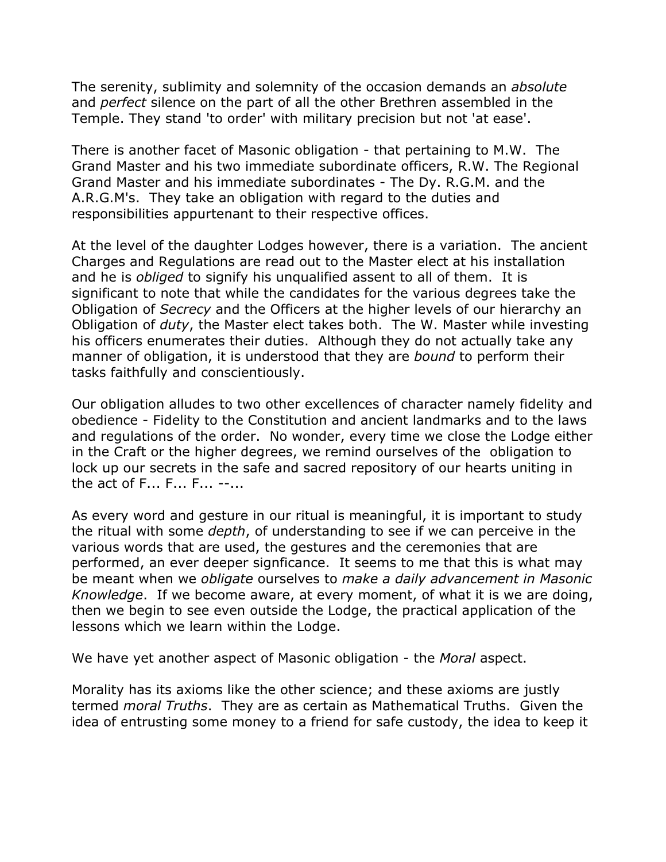The serenity, sublimity and solemnity of the occasion demands an *absolute* and *perfect* silence on the part of all the other Brethren assembled in the Temple. They stand 'to order' with military precision but not 'at ease'.

There is another facet of Masonic obligation - that pertaining to M.W. The Grand Master and his two immediate subordinate officers, R.W. The Regional Grand Master and his immediate subordinates - The Dy. R.G.M. and the A.R.G.M's. They take an obligation with regard to the duties and responsibilities appurtenant to their respective offices.

At the level of the daughter Lodges however, there is a variation. The ancient Charges and Regulations are read out to the Master elect at his installation and he is *obliged* to signify his unqualified assent to all of them. It is significant to note that while the candidates for the various degrees take the Obligation of *Secrecy* and the Officers at the higher levels of our hierarchy an Obligation of *duty*, the Master elect takes both. The W. Master while investing his officers enumerates their duties. Although they do not actually take any manner of obligation, it is understood that they are *bound* to perform their tasks faithfully and conscientiously.

Our obligation alludes to two other excellences of character namely fidelity and obedience - Fidelity to the Constitution and ancient landmarks and to the laws and regulations of the order. No wonder, every time we close the Lodge either in the Craft or the higher degrees, we remind ourselves of the obligation to lock up our secrets in the safe and sacred repository of our hearts uniting in the act of F... F... F... --...

As every word and gesture in our ritual is meaningful, it is important to study the ritual with some *depth*, of understanding to see if we can perceive in the various words that are used, the gestures and the ceremonies that are performed, an ever deeper signficance. It seems to me that this is what may be meant when we *obligate* ourselves to *make a daily advancement in Masonic Knowledge*. If we become aware, at every moment, of what it is we are doing, then we begin to see even outside the Lodge, the practical application of the lessons which we learn within the Lodge.

We have yet another aspect of Masonic obligation - the *Moral* aspect.

Morality has its axioms like the other science; and these axioms are justly termed *moral Truths*. They are as certain as Mathematical Truths. Given the idea of entrusting some money to a friend for safe custody, the idea to keep it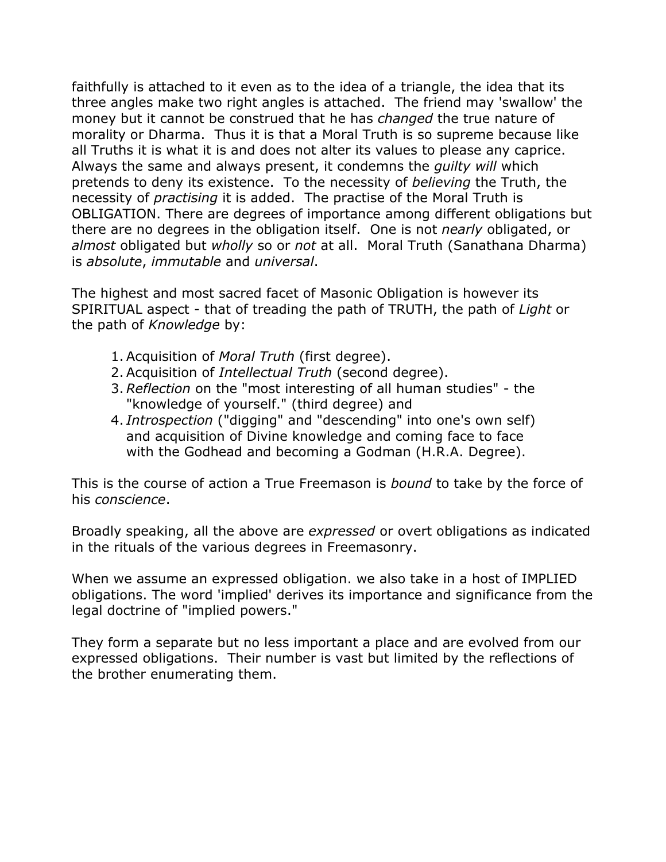faithfully is attached to it even as to the idea of a triangle, the idea that its three angles make two right angles is attached. The friend may 'swallow' the money but it cannot be construed that he has *changed* the true nature of morality or Dharma. Thus it is that a Moral Truth is so supreme because like all Truths it is what it is and does not alter its values to please any caprice. Always the same and always present, it condemns the *guilty will* which pretends to deny its existence. To the necessity of *believing* the Truth, the necessity of *practising* it is added. The practise of the Moral Truth is OBLIGATION. There are degrees of importance among different obligations but there are no degrees in the obligation itself. One is not *nearly* obligated, or *almost* obligated but *wholly* so or *not* at all. Moral Truth (Sanathana Dharma) is *absolute*, *immutable* and *universal*.

The highest and most sacred facet of Masonic Obligation is however its SPIRITUAL aspect - that of treading the path of TRUTH, the path of *Light* or the path of *Knowledge* by:

- 1. Acquisition of *Moral Truth* (first degree).
- 2. Acquisition of *Intellectual Truth* (second degree).
- 3. *Reflection* on the "most interesting of all human studies" the "knowledge of yourself." (third degree) and
- 4. *Introspection* ("digging" and "descending" into one's own self) and acquisition of Divine knowledge and coming face to face with the Godhead and becoming a Godman (H.R.A. Degree).

This is the course of action a True Freemason is *bound* to take by the force of his *conscience*.

Broadly speaking, all the above are *expressed* or overt obligations as indicated in the rituals of the various degrees in Freemasonry.

When we assume an expressed obligation. we also take in a host of IMPLIED obligations. The word 'implied' derives its importance and significance from the legal doctrine of "implied powers."

They form a separate but no less important a place and are evolved from our expressed obligations. Their number is vast but limited by the reflections of the brother enumerating them.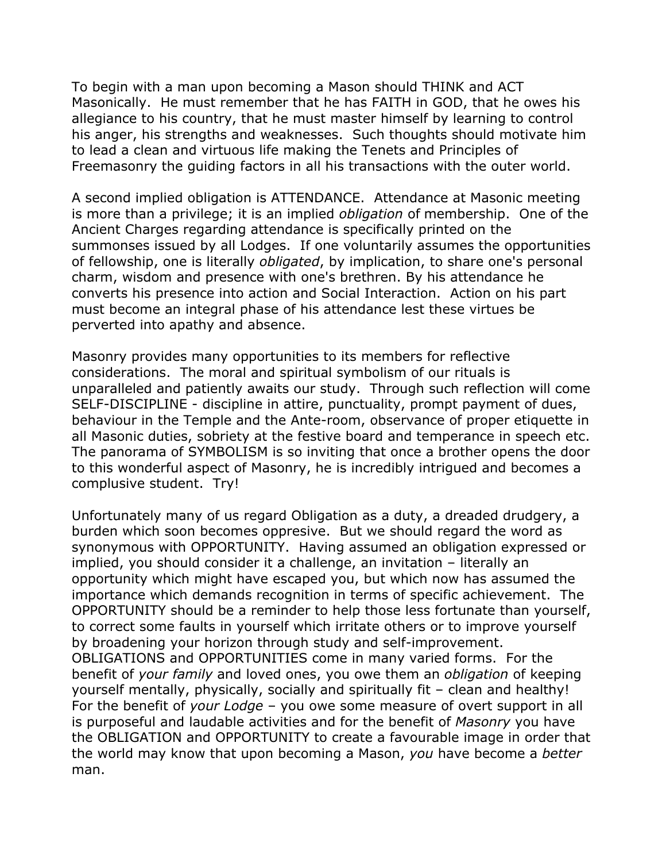To begin with a man upon becoming a Mason should THINK and ACT Masonically. He must remember that he has FAITH in GOD, that he owes his allegiance to his country, that he must master himself by learning to control his anger, his strengths and weaknesses. Such thoughts should motivate him to lead a clean and virtuous life making the Tenets and Principles of Freemasonry the guiding factors in all his transactions with the outer world.

A second implied obligation is ATTENDANCE. Attendance at Masonic meeting is more than a privilege; it is an implied *obligation* of membership. One of the Ancient Charges regarding attendance is specifically printed on the summonses issued by all Lodges. If one voluntarily assumes the opportunities of fellowship, one is literally *obligated*, by implication, to share one's personal charm, wisdom and presence with one's brethren. By his attendance he converts his presence into action and Social Interaction. Action on his part must become an integral phase of his attendance lest these virtues be perverted into apathy and absence.

Masonry provides many opportunities to its members for reflective considerations. The moral and spiritual symbolism of our rituals is unparalleled and patiently awaits our study. Through such reflection will come SELF-DISCIPLINE - discipline in attire, punctuality, prompt payment of dues, behaviour in the Temple and the Ante-room, observance of proper etiquette in all Masonic duties, sobriety at the festive board and temperance in speech etc. The panorama of SYMBOLISM is so inviting that once a brother opens the door to this wonderful aspect of Masonry, he is incredibly intrigued and becomes a complusive student. Try!

Unfortunately many of us regard Obligation as a duty, a dreaded drudgery, a burden which soon becomes oppresive. But we should regard the word as synonymous with OPPORTUNITY. Having assumed an obligation expressed or implied, you should consider it a challenge, an invitation – literally an opportunity which might have escaped you, but which now has assumed the importance which demands recognition in terms of specific achievement. The OPPORTUNITY should be a reminder to help those less fortunate than yourself, to correct some faults in yourself which irritate others or to improve yourself by broadening your horizon through study and self-improvement. OBLIGATIONS and OPPORTUNITIES come in many varied forms. For the benefit of *your family* and loved ones, you owe them an *obligation* of keeping yourself mentally, physically, socially and spiritually fit – clean and healthy! For the benefit of *your Lodge* – you owe some measure of overt support in all is purposeful and laudable activities and for the benefit of *Masonry* you have the OBLIGATION and OPPORTUNITY to create a favourable image in order that the world may know that upon becoming a Mason, *you* have become a *better* man.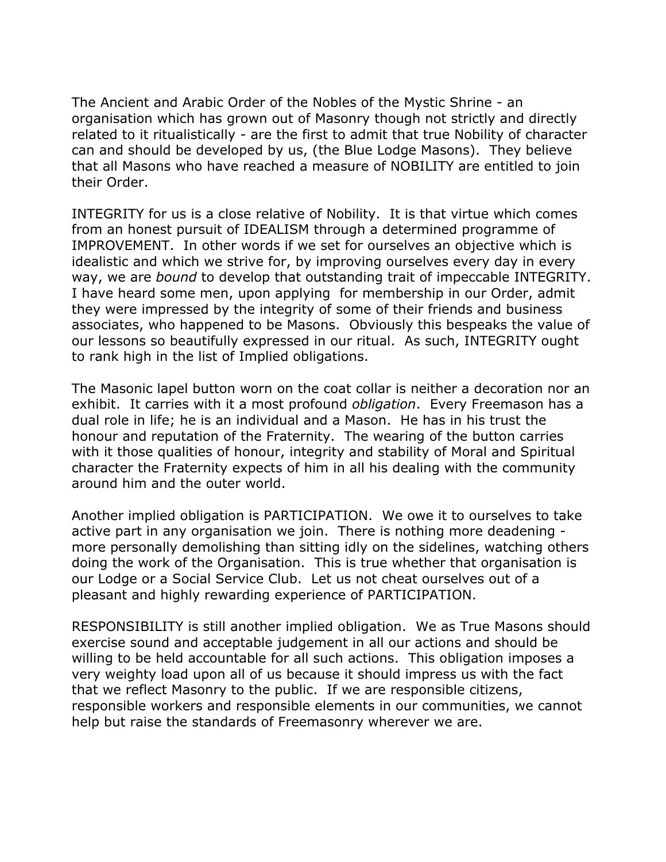The Ancient and Arabic Order of the Nobles of the Mystic Shrine - an organisation which has grown out of Masonry though not strictly and directly related to it ritualistically - are the first to admit that true Nobility of character can and should be developed by us, (the Blue Lodge Masons). They believe that all Masons who have reached a measure of NOBILITY are entitled to join their Order.

INTEGRITY for us is a close relative of Nobility. It is that virtue which comes from an honest pursuit of IDEALISM through a determined programme of IMPROVEMENT. In other words if we set for ourselves an objective which is idealistic and which we strive for, by improving ourselves every day in every way, we are *bound* to develop that outstanding trait of impeccable INTEGRITY. I have heard some men, upon applying for membership in our Order, admit they were impressed by the integrity of some of their friends and business associates, who happened to be Masons. Obviously this bespeaks the value of our lessons so beautifully expressed in our ritual. As such, INTEGRITY ought to rank high in the list of Implied obligations.

The Masonic lapel button worn on the coat collar is neither a decoration nor an exhibit. It carries with it a most profound *obligation*. Every Freemason has a dual role in life; he is an individual and a Mason. He has in his trust the honour and reputation of the Fraternity. The wearing of the button carries with it those qualities of honour, integrity and stability of Moral and Spiritual character the Fraternity expects of him in all his dealing with the community around him and the outer world.

Another implied obligation is PARTICIPATION. We owe it to ourselves to take active part in any organisation we join. There is nothing more deadening more personally demolishing than sitting idly on the sidelines, watching others doing the work of the Organisation. This is true whether that organisation is our Lodge or a Social Service Club. Let us not cheat ourselves out of a pleasant and highly rewarding experience of PARTICIPATION.

RESPONSIBILITY is still another implied obligation. We as True Masons should exercise sound and acceptable judgement in all our actions and should be willing to be held accountable for all such actions. This obligation imposes a very weighty load upon all of us because it should impress us with the fact that we reflect Masonry to the public. If we are responsible citizens, responsible workers and responsible elements in our communities, we cannot help but raise the standards of Freemasonry wherever we are.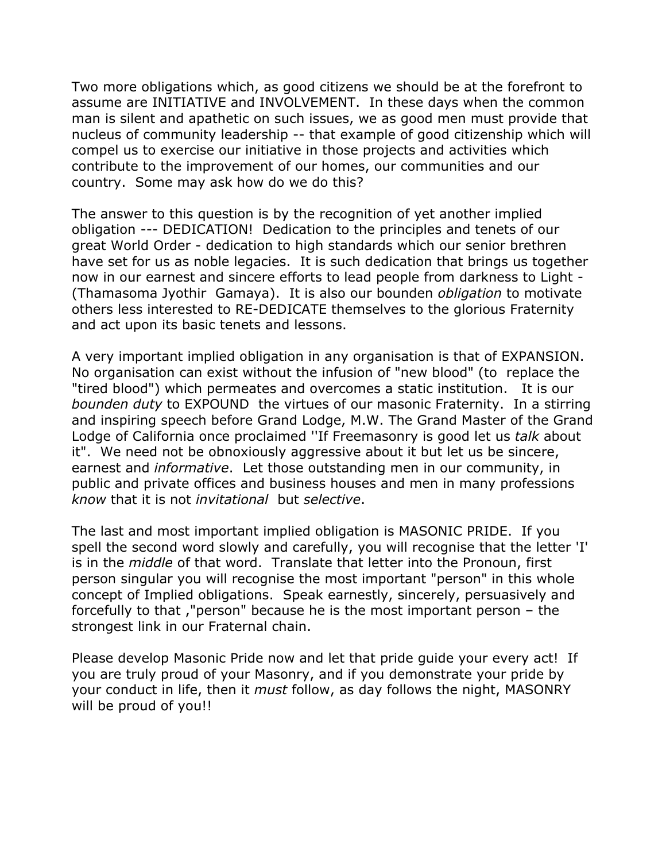Two more obligations which, as good citizens we should be at the forefront to assume are INITIATIVE and INVOLVEMENT. In these days when the common man is silent and apathetic on such issues, we as good men must provide that nucleus of community leadership -- that example of good citizenship which will compel us to exercise our initiative in those projects and activities which contribute to the improvement of our homes, our communities and our country. Some may ask how do we do this?

The answer to this question is by the recognition of yet another implied obligation --- DEDICATION! Dedication to the principles and tenets of our great World Order - dedication to high standards which our senior brethren have set for us as noble legacies. It is such dedication that brings us together now in our earnest and sincere efforts to lead people from darkness to Light - (Thamasoma Jyothir Gamaya). It is also our bounden *obligation* to motivate others less interested to RE-DEDICATE themselves to the glorious Fraternity and act upon its basic tenets and lessons.

A very important implied obligation in any organisation is that of EXPANSION. No organisation can exist without the infusion of "new blood" (to replace the "tired blood") which permeates and overcomes a static institution. It is our *bounden duty* to EXPOUND the virtues of our masonic Fraternity. In a stirring and inspiring speech before Grand Lodge, M.W. The Grand Master of the Grand Lodge of California once proclaimed ''If Freemasonry is good let us *talk* about it". We need not be obnoxiously aggressive about it but let us be sincere, earnest and *informative*. Let those outstanding men in our community, in public and private offices and business houses and men in many professions *know* that it is not *invitational* but *selective*.

The last and most important implied obligation is MASONIC PRIDE. If you spell the second word slowly and carefully, you will recognise that the letter 'I' is in the *middle* of that word. Translate that letter into the Pronoun, first person singular you will recognise the most important "person" in this whole concept of Implied obligations. Speak earnestly, sincerely, persuasively and forcefully to that ,"person" because he is the most important person – the strongest link in our Fraternal chain.

Please develop Masonic Pride now and let that pride guide your every act! If you are truly proud of your Masonry, and if you demonstrate your pride by your conduct in life, then it *must* follow, as day follows the night, MASONRY will be proud of you!!